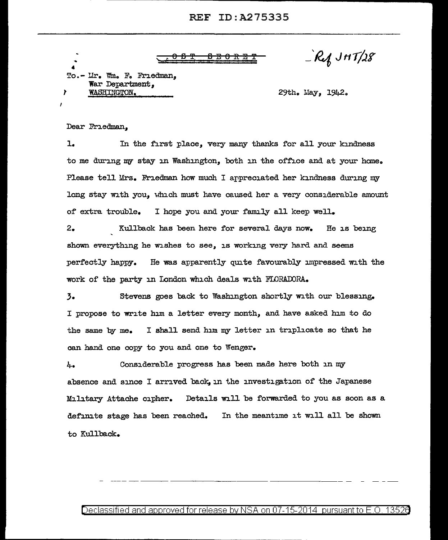REF ID:A275335

**1002 SEORET** 

To.- Lir. Wm. F. Friedman, War Department,

## $Re\int J_H T/28$

29th. May, 1942.

## Dear Friedman,

1. In the first place, very many thanks for all your kindness to me during my stay in Washington, both in the office and at your home. Please tell Mrs. Friedman how much I arpreciated her kindness during my long stay with you, which must have caused her a very considerable amount of extra trouble. I hope you and your family all keep well.

2. Kullback has been here for several days now. He is being shown everything he wishes to see, is working very hard and seems perfectly happy. He was apparently quite favourably impressed with the work of the party in London which deals with FIDRAOORA.

 $3.$ Stevens goes back to Washington shortly with our blessing. I propose to write him a letter every month, and have asked him to do the same by me. I shall send him my letter in triplicate so that he can hand one copy to you and one to Wenger.

 $l_{\rm lo}$ Considerable progress has been made here both in my absence and since I arrived back, in the investigation of the Japanese Military Attache cipher. Details will be forwarded to you as soon as a definite stage has been reached. In the meantime it will all be shown to Kullback.

- ---- - --------

## Declassified and approved for release by NSA on 07-15-2014  $\,$  pursuant to E.O. 13526  $\,$